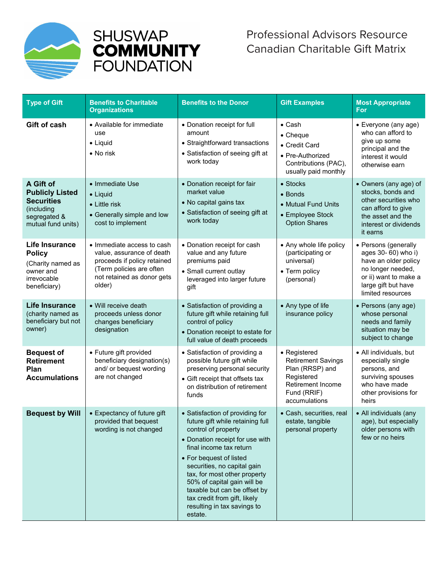



## Canadian Charitable Gift Matrix Professional Advisors Resource Canadian Charitable Gift Matrix

| <b>Type of Gift</b>                                                                                          | <b>Benefits to Charitable</b><br><b>Organizations</b>                                                                                                      | <b>Benefits to the Donor</b>                                                                                                                                                                                                                                                                                                                                                                | <b>Gift Examples</b>                                                                                                            | <b>Most Appropriate</b><br><b>For</b>                                                                                                                         |
|--------------------------------------------------------------------------------------------------------------|------------------------------------------------------------------------------------------------------------------------------------------------------------|---------------------------------------------------------------------------------------------------------------------------------------------------------------------------------------------------------------------------------------------------------------------------------------------------------------------------------------------------------------------------------------------|---------------------------------------------------------------------------------------------------------------------------------|---------------------------------------------------------------------------------------------------------------------------------------------------------------|
| Gift of cash                                                                                                 | • Available for immediate<br>use<br>$\bullet$ Liquid<br>• No risk                                                                                          | • Donation receipt for full<br>amount<br>• Straightforward transactions<br>• Satisfaction of seeing gift at<br>work today                                                                                                                                                                                                                                                                   | $\bullet$ Cash<br>• Cheque<br>• Credit Card<br>• Pre-Authorized<br>Contributions (PAC),<br>usually paid monthly                 | • Everyone (any age)<br>who can afford to<br>give up some<br>principal and the<br>interest it would<br>otherwise earn                                         |
| A Gift of<br><b>Publicly Listed</b><br><b>Securities</b><br>(including<br>segregated &<br>mutual fund units) | • Immediate Use<br>$\bullet$ Liquid<br>$\bullet$ Little risk<br>• Generally simple and low<br>cost to implement                                            | • Donation receipt for fair<br>market value<br>• No capital gains tax<br>• Satisfaction of seeing gift at<br>work today                                                                                                                                                                                                                                                                     | • Stocks<br>• Bonds<br>• Mutual Fund Units<br>• Employee Stock<br><b>Option Shares</b>                                          | • Owners (any age) of<br>stocks, bonds and<br>other securities who<br>can afford to give<br>the asset and the<br>interest or dividends<br>it earns            |
| <b>Life Insurance</b><br><b>Policy</b><br>(Charity named as<br>owner and<br>irrevocable<br>beneficiary)      | • Immediate access to cash<br>value, assurance of death<br>proceeds if policy retained<br>(Term policies are often<br>not retained as donor gets<br>older) | • Donation receipt for cash<br>value and any future<br>premiums paid<br>• Small current outlay<br>leveraged into larger future<br>gift                                                                                                                                                                                                                                                      | • Any whole life policy<br>(participating or<br>universal)<br>• Term policy<br>(personal)                                       | • Persons (generally<br>ages 30- 60) who i)<br>have an older policy<br>no longer needed,<br>or ii) want to make a<br>large gift but have<br>limited resources |
| <b>Life Insurance</b><br>(charity named as<br>beneficiary but not<br>owner)                                  | • Will receive death<br>proceeds unless donor<br>changes beneficiary<br>designation                                                                        | • Satisfaction of providing a<br>future gift while retaining full<br>control of policy<br>• Donation receipt to estate for<br>full value of death proceeds                                                                                                                                                                                                                                  | • Any type of life<br>insurance policy                                                                                          | • Persons (any age)<br>whose personal<br>needs and family<br>situation may be<br>subject to change                                                            |
| <b>Bequest of</b><br><b>Retirement</b><br>Plan<br><b>Accumulations</b>                                       | • Future gift provided<br>beneficiary designation(s)<br>and/ or bequest wording<br>are not changed                                                         | • Satisfaction of providing a<br>possible future gift while<br>preserving personal security<br>• Gift receipt that offsets tax<br>on distribution of retirement<br>funds                                                                                                                                                                                                                    | • Registered<br><b>Retirement Savings</b><br>Plan (RRSP) and<br>Registered<br>Retirement Income<br>Fund (RRIF)<br>accumulations | • All individuals, but<br>especially single<br>persons, and<br>surviving spouses<br>who have made<br>other provisions for<br>heirs                            |
| <b>Bequest by Will</b>                                                                                       | • Expectancy of future gift<br>provided that bequest<br>wording is not changed                                                                             | • Satisfaction of providing for<br>future gift while retaining full<br>control of property<br>• Donation receipt for use with<br>final income tax return<br>• For bequest of listed<br>securities, no capital gain<br>tax, for most other property<br>50% of capital gain will be<br>taxable but can be offset by<br>tax credit from gift, likely<br>resulting in tax savings to<br>estate. | • Cash, securities, real<br>estate, tangible<br>personal property                                                               | • All individuals (any<br>age), but especially<br>older persons with<br>few or no heirs                                                                       |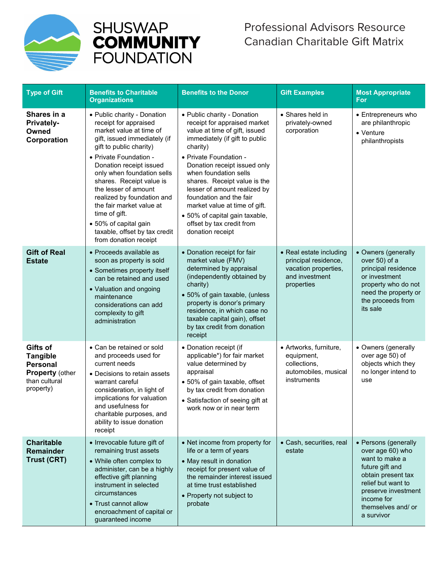



| <b>Type of Gift</b>                                                                                    | <b>Benefits to Charitable</b><br><b>Organizations</b>                                                                                                                                                                                                                                                                                                                                                                                           | <b>Benefits to the Donor</b>                                                                                                                                                                                                                                                                                                                                                                                                                 | <b>Gift Examples</b>                                                                                    | <b>Most Appropriate</b><br><b>For</b>                                                                                                                                                              |
|--------------------------------------------------------------------------------------------------------|-------------------------------------------------------------------------------------------------------------------------------------------------------------------------------------------------------------------------------------------------------------------------------------------------------------------------------------------------------------------------------------------------------------------------------------------------|----------------------------------------------------------------------------------------------------------------------------------------------------------------------------------------------------------------------------------------------------------------------------------------------------------------------------------------------------------------------------------------------------------------------------------------------|---------------------------------------------------------------------------------------------------------|----------------------------------------------------------------------------------------------------------------------------------------------------------------------------------------------------|
| Shares in a<br><b>Privately-</b><br>Owned<br>Corporation                                               | • Public charity - Donation<br>receipt for appraised<br>market value at time of<br>gift, issued immediately (if<br>gift to public charity)<br>• Private Foundation -<br>Donation receipt issued<br>only when foundation sells<br>shares. Receipt value is<br>the lesser of amount<br>realized by foundation and<br>the fair market value at<br>time of gift.<br>• 50% of capital gain<br>taxable, offset by tax credit<br>from donation receipt | • Public charity - Donation<br>receipt for appraised market<br>value at time of gift, issued<br>immediately (if gift to public<br>charity)<br>• Private Foundation -<br>Donation receipt issued only<br>when foundation sells<br>shares. Receipt value is the<br>lesser of amount realized by<br>foundation and the fair<br>market value at time of gift.<br>• 50% of capital gain taxable,<br>offset by tax credit from<br>donation receipt | • Shares held in<br>privately-owned<br>corporation                                                      | • Entrepreneurs who<br>are philanthropic<br>• Venture<br>philanthropists                                                                                                                           |
| <b>Gift of Real</b><br><b>Estate</b>                                                                   | • Proceeds available as<br>soon as property is sold<br>• Sometimes property itself<br>can be retained and used<br>• Valuation and ongoing<br>maintenance<br>considerations can add<br>complexity to gift<br>administration                                                                                                                                                                                                                      | • Donation receipt for fair<br>market value (FMV)<br>determined by appraisal<br>(independently obtained by<br>charity)<br>• 50% of gain taxable, (unless<br>property is donor's primary<br>residence, in which case no<br>taxable capital gain), offset<br>by tax credit from donation<br>receipt                                                                                                                                            | • Real estate including<br>principal residence,<br>vacation properties,<br>and investment<br>properties | • Owners (generally<br>over 50) of a<br>principal residence<br>or investment<br>property who do not<br>need the property or<br>the proceeds from<br>its sale                                       |
| Gifts of<br><b>Tangible</b><br><b>Personal</b><br><b>Property (other</b><br>than cultural<br>property) | • Can be retained or sold<br>and proceeds used for<br>current needs<br>• Decisions to retain assets<br>warrant careful<br>consideration, in light of<br>implications for valuation<br>and usefulness for<br>charitable purposes, and<br>ability to issue donation<br>receipt                                                                                                                                                                    | • Donation receipt (if<br>applicable*) for fair market<br>value determined by<br>appraisal<br>• 50% of gain taxable, offset<br>by tax credit from donation<br>• Satisfaction of seeing gift at<br>work now or in near term                                                                                                                                                                                                                   | • Artworks, furniture,<br>equipment,<br>collections,<br>automobiles, musical<br>instruments             | • Owners (generally<br>over age 50) of<br>objects which they<br>no longer intend to<br>use                                                                                                         |
| <b>Charitable</b><br>Remainder<br>Trust (CRT)                                                          | • Irrevocable future gift of<br>remaining trust assets<br>• While often complex to<br>administer, can be a highly<br>effective gift planning<br>instrument in selected<br>circumstances<br>• Trust cannot allow<br>encroachment of capital or<br>guaranteed income                                                                                                                                                                              | • Net income from property for<br>life or a term of years<br>• May result in donation<br>receipt for present value of<br>the remainder interest issued<br>at time trust established<br>• Property not subject to<br>probate                                                                                                                                                                                                                  | • Cash, securities, real<br>estate                                                                      | • Persons (generally<br>over age 60) who<br>want to make a<br>future gift and<br>obtain present tax<br>relief but want to<br>preserve investment<br>income for<br>themselves and/ or<br>a survivor |